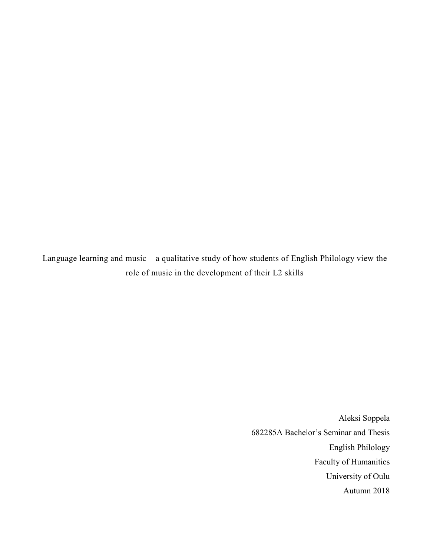Language learning and music – a qualitative study of how students of English Philology view the role of music in the development of their L2 skills

> Aleksi Soppela 682285A Bachelor's Seminar and Thesis English Philology Faculty of Humanities University of Oulu Autumn 2018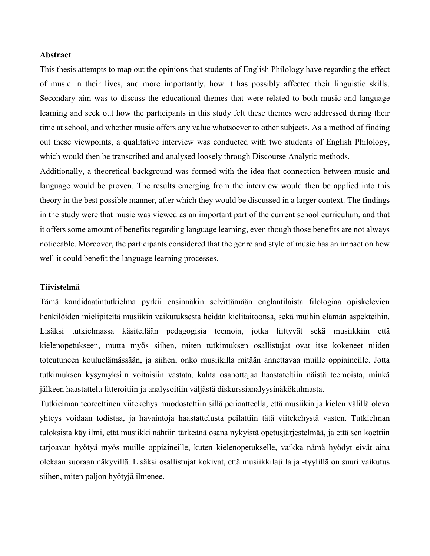# **Abstract**

This thesis attempts to map out the opinions that students of English Philology have regarding the effect of music in their lives, and more importantly, how it has possibly affected their linguistic skills. Secondary aim was to discuss the educational themes that were related to both music and language learning and seek out how the participants in this study felt these themes were addressed during their time at school, and whether music offers any value whatsoever to other subjects. As a method of finding out these viewpoints, a qualitative interview was conducted with two students of English Philology, which would then be transcribed and analysed loosely through Discourse Analytic methods.

Additionally, a theoretical background was formed with the idea that connection between music and language would be proven. The results emerging from the interview would then be applied into this theory in the best possible manner, after which they would be discussed in a larger context. The findings in the study were that music was viewed as an important part of the current school curriculum, and that it offers some amount of benefits regarding language learning, even though those benefits are not always noticeable. Moreover, the participants considered that the genre and style of music has an impact on how well it could benefit the language learning processes.

# **Tiivistelmä**

Tämä kandidaatintutkielma pyrkii ensinnäkin selvittämään englantilaista filologiaa opiskelevien henkilöiden mielipiteitä musiikin vaikutuksesta heidän kielitaitoonsa, sekä muihin elämän aspekteihin. Lisäksi tutkielmassa käsitellään pedagogisia teemoja, jotka liittyvät sekä musiikkiin että kielenopetukseen, mutta myös siihen, miten tutkimuksen osallistujat ovat itse kokeneet niiden toteutuneen kouluelämässään, ja siihen, onko musiikilla mitään annettavaa muille oppiaineille. Jotta tutkimuksen kysymyksiin voitaisiin vastata, kahta osanottajaa haastateltiin näistä teemoista, minkä jälkeen haastattelu litteroitiin ja analysoitiin väljästä diskurssianalyysinäkökulmasta.

Tutkielman teoreettinen viitekehys muodostettiin sillä periaatteella, että musiikin ja kielen välillä oleva yhteys voidaan todistaa, ja havaintoja haastattelusta peilattiin tätä viitekehystä vasten. Tutkielman tuloksista käy ilmi, että musiikki nähtiin tärkeänä osana nykyistä opetusjärjestelmää, ja että sen koettiin tarjoavan hyötyä myös muille oppiaineille, kuten kielenopetukselle, vaikka nämä hyödyt eivät aina olekaan suoraan näkyvillä. Lisäksi osallistujat kokivat, että musiikkilajilla ja -tyylillä on suuri vaikutus siihen, miten paljon hyötyjä ilmenee.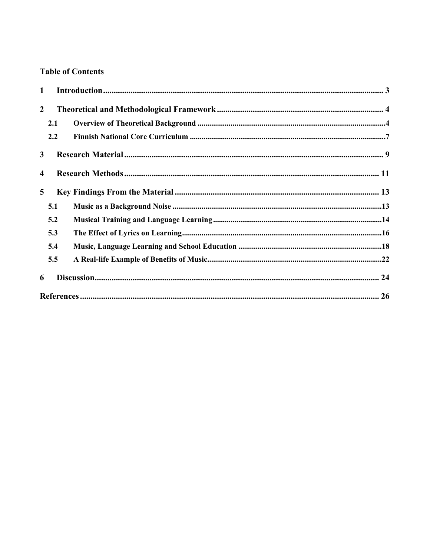# **Table of Contents**

| $\mathbf{1}$            |     |  |  |
|-------------------------|-----|--|--|
| $\overline{2}$          |     |  |  |
|                         | 2.1 |  |  |
|                         | 2.2 |  |  |
| $\mathbf{3}$            |     |  |  |
| $\overline{\mathbf{4}}$ |     |  |  |
| $\overline{5}$          |     |  |  |
|                         | 5.1 |  |  |
|                         | 5.2 |  |  |
|                         | 5.3 |  |  |
|                         | 5.4 |  |  |
|                         | 5.5 |  |  |
| 6                       |     |  |  |
|                         |     |  |  |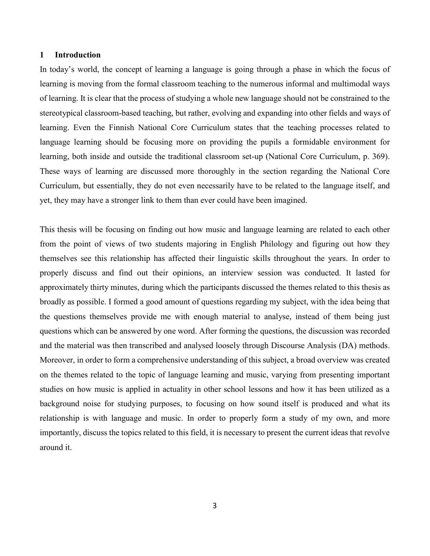# <span id="page-3-0"></span>**1 Introduction**

In today's world, the concept of learning a language is going through a phase in which the focus of learning is moving from the formal classroom teaching to the numerous informal and multimodal ways of learning. It is clear that the process of studying a whole new language should not be constrained to the stereotypical classroom-based teaching, but rather, evolving and expanding into other fields and ways of learning. Even the Finnish National Core Curriculum states that the teaching processes related to language learning should be focusing more on providing the pupils a formidable environment for learning, both inside and outside the traditional classroom set-up (National Core Curriculum, p. 369). These ways of learning are discussed more thoroughly in the section regarding the National Core Curriculum, but essentially, they do not even necessarily have to be related to the language itself, and yet, they may have a stronger link to them than ever could have been imagined.

This thesis will be focusing on finding out how music and language learning are related to each other from the point of views of two students majoring in English Philology and figuring out how they themselves see this relationship has affected their linguistic skills throughout the years. In order to properly discuss and find out their opinions, an interview session was conducted. It lasted for approximately thirty minutes, during which the participants discussed the themes related to this thesis as broadly as possible. I formed a good amount of questions regarding my subject, with the idea being that the questions themselves provide me with enough material to analyse, instead of them being just questions which can be answered by one word. After forming the questions, the discussion was recorded and the material was then transcribed and analysed loosely through Discourse Analysis (DA) methods. Moreover, in order to form a comprehensive understanding of this subject, a broad overview was created on the themes related to the topic of language learning and music, varying from presenting important studies on how music is applied in actuality in other school lessons and how it has been utilized as a background noise for studying purposes, to focusing on how sound itself is produced and what its relationship is with language and music. In order to properly form a study of my own, and more importantly, discuss the topics related to this field, it is necessary to present the current ideas that revolve around it.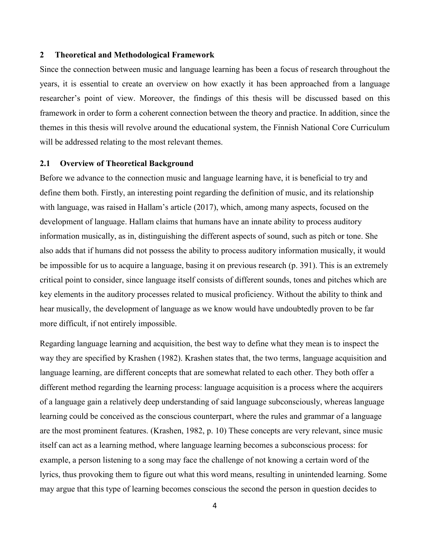# <span id="page-4-0"></span>**2 Theoretical and Methodological Framework**

Since the connection between music and language learning has been a focus of research throughout the years, it is essential to create an overview on how exactly it has been approached from a language researcher's point of view. Moreover, the findings of this thesis will be discussed based on this framework in order to form a coherent connection between the theory and practice. In addition, since the themes in this thesis will revolve around the educational system, the Finnish National Core Curriculum will be addressed relating to the most relevant themes.

# <span id="page-4-1"></span>**2.1 Overview of Theoretical Background**

Before we advance to the connection music and language learning have, it is beneficial to try and define them both. Firstly, an interesting point regarding the definition of music, and its relationship with language, was raised in Hallam's article (2017), which, among many aspects, focused on the development of language. Hallam claims that humans have an innate ability to process auditory information musically, as in, distinguishing the different aspects of sound, such as pitch or tone. She also adds that if humans did not possess the ability to process auditory information musically, it would be impossible for us to acquire a language, basing it on previous research (p. 391). This is an extremely critical point to consider, since language itself consists of different sounds, tones and pitches which are key elements in the auditory processes related to musical proficiency. Without the ability to think and hear musically, the development of language as we know would have undoubtedly proven to be far more difficult, if not entirely impossible.

Regarding language learning and acquisition, the best way to define what they mean is to inspect the way they are specified by Krashen (1982). Krashen states that, the two terms, language acquisition and language learning, are different concepts that are somewhat related to each other. They both offer a different method regarding the learning process: language acquisition is a process where the acquirers of a language gain a relatively deep understanding of said language subconsciously, whereas language learning could be conceived as the conscious counterpart, where the rules and grammar of a language are the most prominent features. (Krashen, 1982, p. 10) These concepts are very relevant, since music itself can act as a learning method, where language learning becomes a subconscious process: for example, a person listening to a song may face the challenge of not knowing a certain word of the lyrics, thus provoking them to figure out what this word means, resulting in unintended learning. Some may argue that this type of learning becomes conscious the second the person in question decides to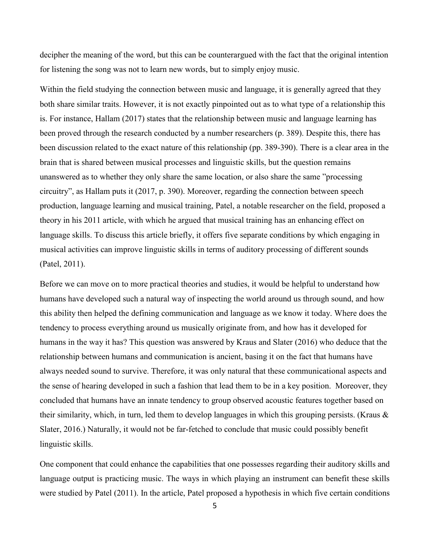decipher the meaning of the word, but this can be counterargued with the fact that the original intention for listening the song was not to learn new words, but to simply enjoy music.

Within the field studying the connection between music and language, it is generally agreed that they both share similar traits. However, it is not exactly pinpointed out as to what type of a relationship this is. For instance, Hallam (2017) states that the relationship between music and language learning has been proved through the research conducted by a number researchers (p. 389). Despite this, there has been discussion related to the exact nature of this relationship (pp. 389-390). There is a clear area in the brain that is shared between musical processes and linguistic skills, but the question remains unanswered as to whether they only share the same location, or also share the same "processing circuitry", as Hallam puts it (2017, p. 390). Moreover, regarding the connection between speech production, language learning and musical training, Patel, a notable researcher on the field, proposed a theory in his 2011 article, with which he argued that musical training has an enhancing effect on language skills. To discuss this article briefly, it offers five separate conditions by which engaging in musical activities can improve linguistic skills in terms of auditory processing of different sounds (Patel, 2011).

Before we can move on to more practical theories and studies, it would be helpful to understand how humans have developed such a natural way of inspecting the world around us through sound, and how this ability then helped the defining communication and language as we know it today. Where does the tendency to process everything around us musically originate from, and how has it developed for humans in the way it has? This question was answered by Kraus and Slater (2016) who deduce that the relationship between humans and communication is ancient, basing it on the fact that humans have always needed sound to survive. Therefore, it was only natural that these communicational aspects and the sense of hearing developed in such a fashion that lead them to be in a key position. Moreover, they concluded that humans have an innate tendency to group observed acoustic features together based on their similarity, which, in turn, led them to develop languages in which this grouping persists. (Kraus & Slater, 2016.) Naturally, it would not be far-fetched to conclude that music could possibly benefit linguistic skills.

One component that could enhance the capabilities that one possesses regarding their auditory skills and language output is practicing music. The ways in which playing an instrument can benefit these skills were studied by Patel (2011). In the article, Patel proposed a hypothesis in which five certain conditions

5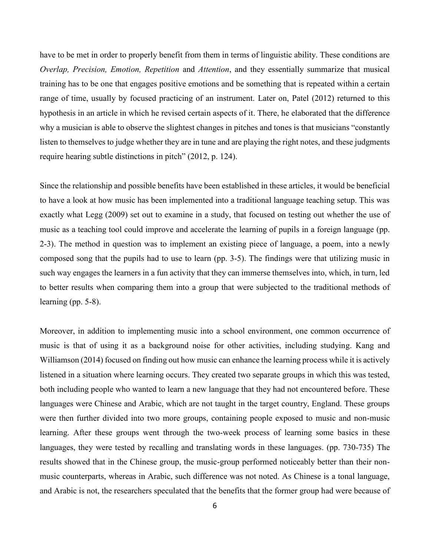have to be met in order to properly benefit from them in terms of linguistic ability. These conditions are *Overlap, Precision, Emotion, Repetition* and *Attention*, and they essentially summarize that musical training has to be one that engages positive emotions and be something that is repeated within a certain range of time, usually by focused practicing of an instrument. Later on, Patel (2012) returned to this hypothesis in an article in which he revised certain aspects of it. There, he elaborated that the difference why a musician is able to observe the slightest changes in pitches and tones is that musicians "constantly listen to themselves to judge whether they are in tune and are playing the right notes, and these judgments require hearing subtle distinctions in pitch" (2012, p. 124).

Since the relationship and possible benefits have been established in these articles, it would be beneficial to have a look at how music has been implemented into a traditional language teaching setup. This was exactly what Legg (2009) set out to examine in a study, that focused on testing out whether the use of music as a teaching tool could improve and accelerate the learning of pupils in a foreign language (pp. 2-3). The method in question was to implement an existing piece of language, a poem, into a newly composed song that the pupils had to use to learn (pp. 3-5). The findings were that utilizing music in such way engages the learners in a fun activity that they can immerse themselves into, which, in turn, led to better results when comparing them into a group that were subjected to the traditional methods of learning (pp. 5-8).

Moreover, in addition to implementing music into a school environment, one common occurrence of music is that of using it as a background noise for other activities, including studying. Kang and Williamson (2014) focused on finding out how music can enhance the learning process while it is actively listened in a situation where learning occurs. They created two separate groups in which this was tested, both including people who wanted to learn a new language that they had not encountered before. These languages were Chinese and Arabic, which are not taught in the target country, England. These groups were then further divided into two more groups, containing people exposed to music and non-music learning. After these groups went through the two-week process of learning some basics in these languages, they were tested by recalling and translating words in these languages. (pp. 730-735) The results showed that in the Chinese group, the music-group performed noticeably better than their nonmusic counterparts, whereas in Arabic, such difference was not noted. As Chinese is a tonal language, and Arabic is not, the researchers speculated that the benefits that the former group had were because of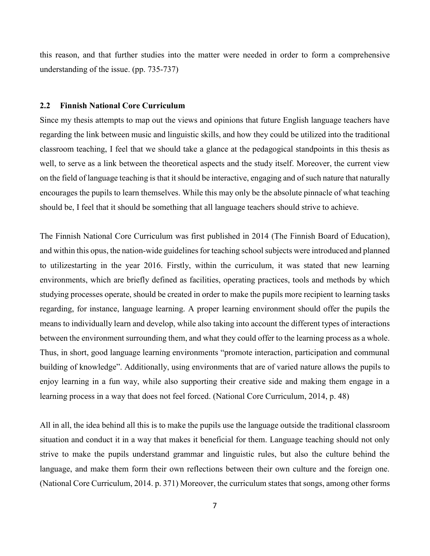this reason, and that further studies into the matter were needed in order to form a comprehensive understanding of the issue. (pp. 735-737)

# <span id="page-7-0"></span>**2.2 Finnish National Core Curriculum**

Since my thesis attempts to map out the views and opinions that future English language teachers have regarding the link between music and linguistic skills, and how they could be utilized into the traditional classroom teaching, I feel that we should take a glance at the pedagogical standpoints in this thesis as well, to serve as a link between the theoretical aspects and the study itself. Moreover, the current view on the field of language teaching is that it should be interactive, engaging and of such nature that naturally encourages the pupils to learn themselves. While this may only be the absolute pinnacle of what teaching should be, I feel that it should be something that all language teachers should strive to achieve.

The Finnish National Core Curriculum was first published in 2014 (The Finnish Board of Education), and within this opus, the nation-wide guidelines for teaching school subjects were introduced and planned to utilizestarting in the year 2016. Firstly, within the curriculum, it was stated that new learning environments, which are briefly defined as facilities, operating practices, tools and methods by which studying processes operate, should be created in order to make the pupils more recipient to learning tasks regarding, for instance, language learning. A proper learning environment should offer the pupils the means to individually learn and develop, while also taking into account the different types of interactions between the environment surrounding them, and what they could offer to the learning process as a whole. Thus, in short, good language learning environments "promote interaction, participation and communal building of knowledge". Additionally, using environments that are of varied nature allows the pupils to enjoy learning in a fun way, while also supporting their creative side and making them engage in a learning process in a way that does not feel forced. (National Core Curriculum, 2014, p. 48)

All in all, the idea behind all this is to make the pupils use the language outside the traditional classroom situation and conduct it in a way that makes it beneficial for them. Language teaching should not only strive to make the pupils understand grammar and linguistic rules, but also the culture behind the language, and make them form their own reflections between their own culture and the foreign one. (National Core Curriculum, 2014. p. 371) Moreover, the curriculum states that songs, among other forms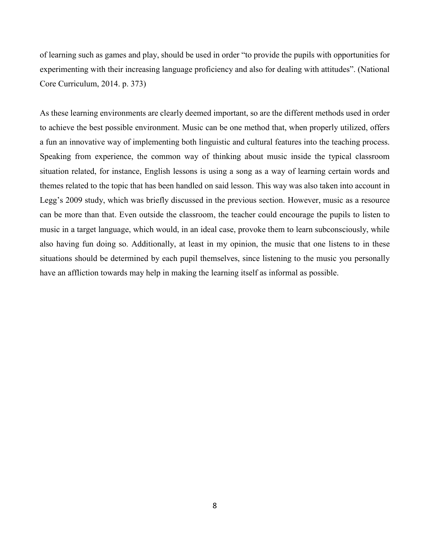of learning such as games and play, should be used in order "to provide the pupils with opportunities for experimenting with their increasing language proficiency and also for dealing with attitudes". (National Core Curriculum, 2014. p. 373)

As these learning environments are clearly deemed important, so are the different methods used in order to achieve the best possible environment. Music can be one method that, when properly utilized, offers a fun an innovative way of implementing both linguistic and cultural features into the teaching process. Speaking from experience, the common way of thinking about music inside the typical classroom situation related, for instance, English lessons is using a song as a way of learning certain words and themes related to the topic that has been handled on said lesson. This way was also taken into account in Legg's 2009 study, which was briefly discussed in the previous section. However, music as a resource can be more than that. Even outside the classroom, the teacher could encourage the pupils to listen to music in a target language, which would, in an ideal case, provoke them to learn subconsciously, while also having fun doing so. Additionally, at least in my opinion, the music that one listens to in these situations should be determined by each pupil themselves, since listening to the music you personally have an affliction towards may help in making the learning itself as informal as possible.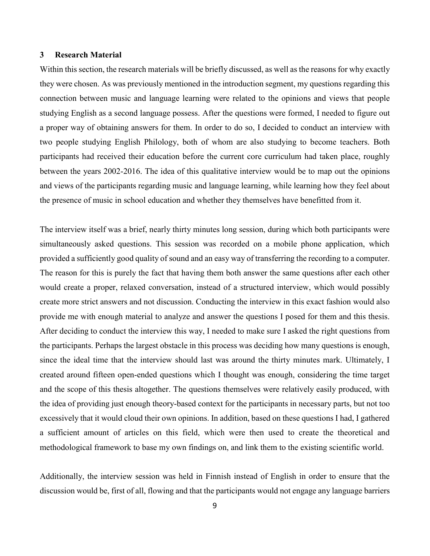# <span id="page-9-0"></span>**3 Research Material**

Within this section, the research materials will be briefly discussed, as well as the reasons for why exactly they were chosen. As was previously mentioned in the introduction segment, my questions regarding this connection between music and language learning were related to the opinions and views that people studying English as a second language possess. After the questions were formed, I needed to figure out a proper way of obtaining answers for them. In order to do so, I decided to conduct an interview with two people studying English Philology, both of whom are also studying to become teachers. Both participants had received their education before the current core curriculum had taken place, roughly between the years 2002-2016. The idea of this qualitative interview would be to map out the opinions and views of the participants regarding music and language learning, while learning how they feel about the presence of music in school education and whether they themselves have benefitted from it.

The interview itself was a brief, nearly thirty minutes long session, during which both participants were simultaneously asked questions. This session was recorded on a mobile phone application, which provided a sufficiently good quality of sound and an easy way of transferring the recording to a computer. The reason for this is purely the fact that having them both answer the same questions after each other would create a proper, relaxed conversation, instead of a structured interview, which would possibly create more strict answers and not discussion. Conducting the interview in this exact fashion would also provide me with enough material to analyze and answer the questions I posed for them and this thesis. After deciding to conduct the interview this way, I needed to make sure I asked the right questions from the participants. Perhaps the largest obstacle in this process was deciding how many questions is enough, since the ideal time that the interview should last was around the thirty minutes mark. Ultimately, I created around fifteen open-ended questions which I thought was enough, considering the time target and the scope of this thesis altogether. The questions themselves were relatively easily produced, with the idea of providing just enough theory-based context for the participants in necessary parts, but not too excessively that it would cloud their own opinions. In addition, based on these questions I had, I gathered a sufficient amount of articles on this field, which were then used to create the theoretical and methodological framework to base my own findings on, and link them to the existing scientific world.

Additionally, the interview session was held in Finnish instead of English in order to ensure that the discussion would be, first of all, flowing and that the participants would not engage any language barriers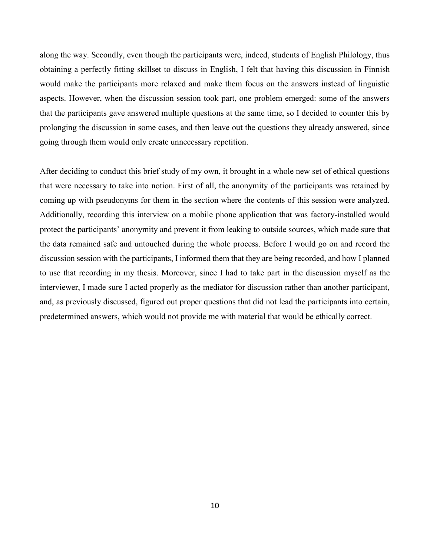along the way. Secondly, even though the participants were, indeed, students of English Philology, thus obtaining a perfectly fitting skillset to discuss in English, I felt that having this discussion in Finnish would make the participants more relaxed and make them focus on the answers instead of linguistic aspects. However, when the discussion session took part, one problem emerged: some of the answers that the participants gave answered multiple questions at the same time, so I decided to counter this by prolonging the discussion in some cases, and then leave out the questions they already answered, since going through them would only create unnecessary repetition.

After deciding to conduct this brief study of my own, it brought in a whole new set of ethical questions that were necessary to take into notion. First of all, the anonymity of the participants was retained by coming up with pseudonyms for them in the section where the contents of this session were analyzed. Additionally, recording this interview on a mobile phone application that was factory-installed would protect the participants' anonymity and prevent it from leaking to outside sources, which made sure that the data remained safe and untouched during the whole process. Before I would go on and record the discussion session with the participants, I informed them that they are being recorded, and how I planned to use that recording in my thesis. Moreover, since I had to take part in the discussion myself as the interviewer, I made sure I acted properly as the mediator for discussion rather than another participant, and, as previously discussed, figured out proper questions that did not lead the participants into certain, predetermined answers, which would not provide me with material that would be ethically correct.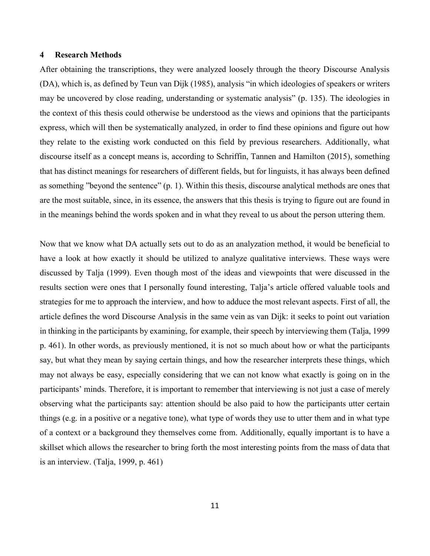# <span id="page-11-0"></span>**4 Research Methods**

After obtaining the transcriptions, they were analyzed loosely through the theory Discourse Analysis (DA), which is, as defined by Teun van Dijk (1985), analysis "in which ideologies of speakers or writers may be uncovered by close reading, understanding or systematic analysis" (p. 135). The ideologies in the context of this thesis could otherwise be understood as the views and opinions that the participants express, which will then be systematically analyzed, in order to find these opinions and figure out how they relate to the existing work conducted on this field by previous researchers. Additionally, what discourse itself as a concept means is, according to Schriffin, Tannen and Hamilton (2015), something that has distinct meanings for researchers of different fields, but for linguists, it has always been defined as something "beyond the sentence" (p. 1). Within this thesis, discourse analytical methods are ones that are the most suitable, since, in its essence, the answers that this thesis is trying to figure out are found in in the meanings behind the words spoken and in what they reveal to us about the person uttering them.

Now that we know what DA actually sets out to do as an analyzation method, it would be beneficial to have a look at how exactly it should be utilized to analyze qualitative interviews. These ways were discussed by Talja (1999). Even though most of the ideas and viewpoints that were discussed in the results section were ones that I personally found interesting, Talja's article offered valuable tools and strategies for me to approach the interview, and how to adduce the most relevant aspects. First of all, the article defines the word Discourse Analysis in the same vein as van Dijk: it seeks to point out variation in thinking in the participants by examining, for example, their speech by interviewing them (Talja, 1999 p. 461). In other words, as previously mentioned, it is not so much about how or what the participants say, but what they mean by saying certain things, and how the researcher interprets these things, which may not always be easy, especially considering that we can not know what exactly is going on in the participants' minds. Therefore, it is important to remember that interviewing is not just a case of merely observing what the participants say: attention should be also paid to how the participants utter certain things (e.g. in a positive or a negative tone), what type of words they use to utter them and in what type of a context or a background they themselves come from. Additionally, equally important is to have a skillset which allows the researcher to bring forth the most interesting points from the mass of data that is an interview. (Talja, 1999, p. 461)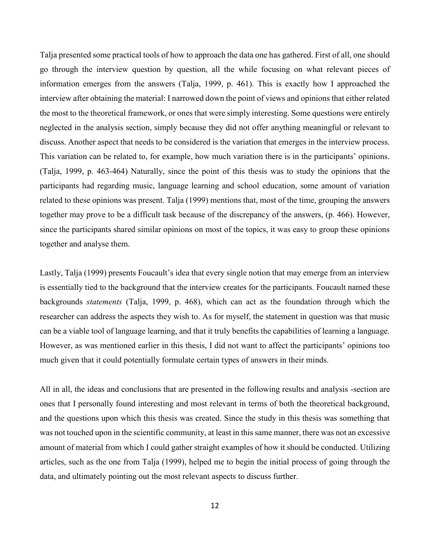Talja presented some practical tools of how to approach the data one has gathered. First of all, one should go through the interview question by question, all the while focusing on what relevant pieces of information emerges from the answers (Talja, 1999, p. 461). This is exactly how I approached the interview after obtaining the material: I narrowed down the point of views and opinions that either related the most to the theoretical framework, or ones that were simply interesting. Some questions were entirely neglected in the analysis section, simply because they did not offer anything meaningful or relevant to discuss. Another aspect that needs to be considered is the variation that emerges in the interview process. This variation can be related to, for example, how much variation there is in the participants' opinions. (Talja, 1999, p. 463-464) Naturally, since the point of this thesis was to study the opinions that the participants had regarding music, language learning and school education, some amount of variation related to these opinions was present. Talja (1999) mentions that, most of the time, grouping the answers together may prove to be a difficult task because of the discrepancy of the answers, (p. 466). However, since the participants shared similar opinions on most of the topics, it was easy to group these opinions together and analyse them.

Lastly, Talja (1999) presents Foucault's idea that every single notion that may emerge from an interview is essentially tied to the background that the interview creates for the participants. Foucault named these backgrounds *statements* (Talja, 1999, p. 468), which can act as the foundation through which the researcher can address the aspects they wish to. As for myself, the statement in question was that music can be a viable tool of language learning, and that it truly benefits the capabilities of learning a language. However, as was mentioned earlier in this thesis, I did not want to affect the participants' opinions too much given that it could potentially formulate certain types of answers in their minds.

All in all, the ideas and conclusions that are presented in the following results and analysis -section are ones that I personally found interesting and most relevant in terms of both the theoretical background, and the questions upon which this thesis was created. Since the study in this thesis was something that was not touched upon in the scientific community, at least in this same manner, there was not an excessive amount of material from which I could gather straight examples of how it should be conducted. Utilizing articles, such as the one from Talja (1999), helped me to begin the initial process of going through the data, and ultimately pointing out the most relevant aspects to discuss further.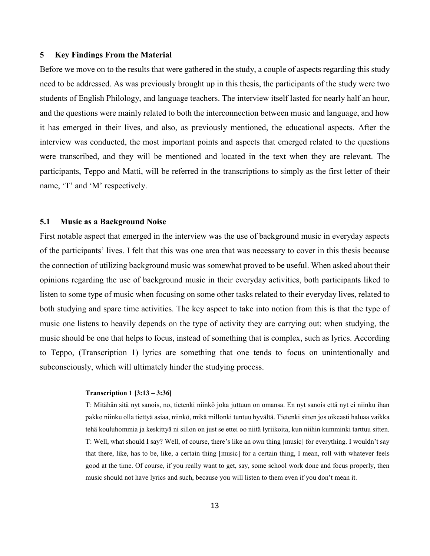# <span id="page-13-0"></span>**5 Key Findings From the Material**

Before we move on to the results that were gathered in the study, a couple of aspects regarding this study need to be addressed. As was previously brought up in this thesis, the participants of the study were two students of English Philology, and language teachers. The interview itself lasted for nearly half an hour, and the questions were mainly related to both the interconnection between music and language, and how it has emerged in their lives, and also, as previously mentioned, the educational aspects. After the interview was conducted, the most important points and aspects that emerged related to the questions were transcribed, and they will be mentioned and located in the text when they are relevant. The participants, Teppo and Matti, will be referred in the transcriptions to simply as the first letter of their name, 'T' and 'M' respectively.

# <span id="page-13-1"></span>**5.1 Music as a Background Noise**

First notable aspect that emerged in the interview was the use of background music in everyday aspects of the participants' lives. I felt that this was one area that was necessary to cover in this thesis because the connection of utilizing background music was somewhat proved to be useful. When asked about their opinions regarding the use of background music in their everyday activities, both participants liked to listen to some type of music when focusing on some other tasks related to their everyday lives, related to both studying and spare time activities. The key aspect to take into notion from this is that the type of music one listens to heavily depends on the type of activity they are carrying out: when studying, the music should be one that helps to focus, instead of something that is complex, such as lyrics. According to Teppo, (Transcription 1) lyrics are something that one tends to focus on unintentionally and subconsciously, which will ultimately hinder the studying process.

### **Transcription 1 [3:13 – 3:36]**

T: Mitähän sitä nyt sanois, no, tietenki niinkö joka juttuun on omansa. En nyt sanois että nyt ei niinku ihan pakko niinku olla tiettyä asiaa, niinkö, mikä millonki tuntuu hyvältä. Tietenki sitten jos oikeasti haluaa vaikka tehä kouluhommia ja keskittyä ni sillon on just se ettei oo niitä lyriikoita, kun niihin kumminki tarttuu sitten. T: Well, what should I say? Well, of course, there's like an own thing [music] for everything. I wouldn't say that there, like, has to be, like, a certain thing [music] for a certain thing, I mean, roll with whatever feels good at the time. Of course, if you really want to get, say, some school work done and focus properly, then music should not have lyrics and such, because you will listen to them even if you don't mean it.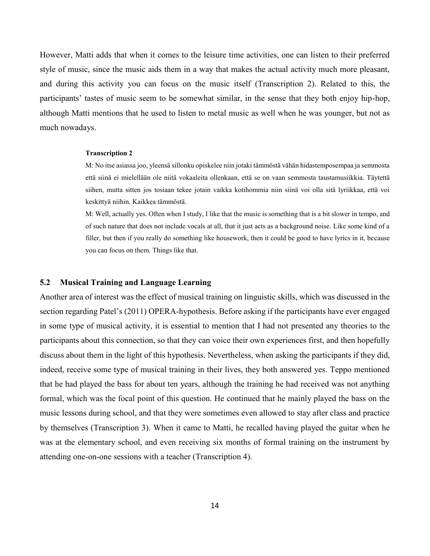However, Matti adds that when it comes to the leisure time activities, one can listen to their preferred style of music, since the music aids them in a way that makes the actual activity much more pleasant, and during this activity you can focus on the music itself (Transcription 2). Related to this, the participants' tastes of music seem to be somewhat similar, in the sense that they both enjoy hip-hop, although Matti mentions that he used to listen to metal music as well when he was younger, but not as much nowadays.

#### **Transcription 2**

M: No itse asiassa joo, yleensä sillonku opiskelee niin jotaki tämmöstä vähän hidastemposempaa ja semmosta että siinä ei mielellään ole niitä vokaaleita ollenkaan, että se on vaan semmosta taustamusiikkia. Täytettä siihen, mutta sitten jos tosiaan tekee jotain vaikka kotihommia niin siinä voi olla sitä lyriikkaa, että voi keskittyä niihin. Kaikkea tämmöstä.

M: Well, actually yes. Often when I study, I like that the music is something that is a bit slower in tempo, and of such nature that does not include vocals at all, that it just acts as a background noise. Like some kind of a filler, but then if you really do something like housework, then it could be good to have lyrics in it, because you can focus on them. Things like that.

# <span id="page-14-0"></span>**5.2 Musical Training and Language Learning**

Another area of interest was the effect of musical training on linguistic skills, which was discussed in the section regarding Patel's (2011) OPERA-hypothesis. Before asking if the participants have ever engaged in some type of musical activity, it is essential to mention that I had not presented any theories to the participants about this connection, so that they can voice their own experiences first, and then hopefully discuss about them in the light of this hypothesis. Nevertheless, when asking the participants if they did, indeed, receive some type of musical training in their lives, they both answered yes. Teppo mentioned that he had played the bass for about ten years, although the training he had received was not anything formal, which was the focal point of this question. He continued that he mainly played the bass on the music lessons during school, and that they were sometimes even allowed to stay after class and practice by themselves (Transcription 3). When it came to Matti, he recalled having played the guitar when he was at the elementary school, and even receiving six months of formal training on the instrument by attending one-on-one sessions with a teacher (Transcription 4).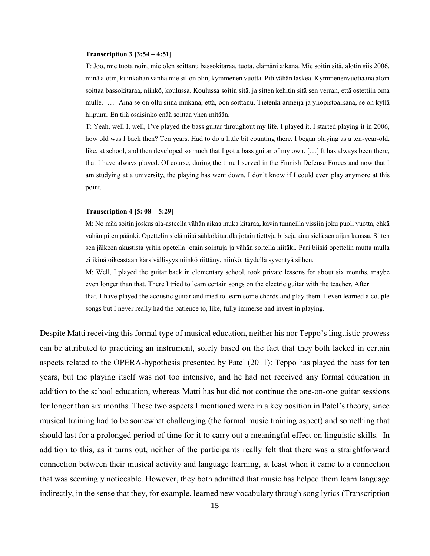### **Transcription 3 [3:54 – 4:51]**

T: Joo, mie tuota noin, mie olen soittanu bassokitaraa, tuota, elämäni aikana. Mie soitin sitä, alotin siis 2006, minä alotin, kuinkahan vanha mie sillon olin, kymmenen vuotta. Piti vähän laskea. Kymmenenvuotiaana aloin soittaa bassokitaraa, niinkö, koulussa. Koulussa soitin sitä, ja sitten kehitin sitä sen verran, että ostettiin oma mulle. […] Aina se on ollu siinä mukana, että, oon soittanu. Tietenki armeija ja yliopistoaikana, se on kyllä hiipunu. En tiiä osaisinko enää soittaa yhen mitään.

T: Yeah, well I, well, I've played the bass guitar throughout my life. I played it, I started playing it in 2006, how old was I back then? Ten years. Had to do a little bit counting there. I began playing as a ten-year-old, like, at school, and then developed so much that I got a bass guitar of my own. […] It has always been there, that I have always played. Of course, during the time I served in the Finnish Defense Forces and now that I am studying at a university, the playing has went down. I don't know if I could even play anymore at this point.

#### **Transcription 4 [5: 08 – 5:29]**

M: No mää soitin joskus ala-asteella vähän aikaa muka kitaraa, kävin tunneilla vissiin joku puoli vuotta, ehkä vähän pitempäänki. Opettelin sielä niitä sähkökitaralla jotain tiettyjä biisejä aina sielä sen äijän kanssa. Sitten sen jälkeen akustista yritin opetella jotain sointuja ja vähän soitella niitäki. Pari biisiä opettelin mutta mulla ei ikinä oikeastaan kärsivällisyys niinkö riittäny, niinkö, täydellä syventyä siihen.

M: Well, I played the guitar back in elementary school, took private lessons for about six months, maybe even longer than that. There I tried to learn certain songs on the electric guitar with the teacher. After that, I have played the acoustic guitar and tried to learn some chords and play them. I even learned a couple songs but I never really had the patience to, like, fully immerse and invest in playing.

Despite Matti receiving this formal type of musical education, neither his nor Teppo's linguistic prowess can be attributed to practicing an instrument, solely based on the fact that they both lacked in certain aspects related to the OPERA-hypothesis presented by Patel (2011): Teppo has played the bass for ten years, but the playing itself was not too intensive, and he had not received any formal education in addition to the school education, whereas Matti has but did not continue the one-on-one guitar sessions for longer than six months. These two aspects I mentioned were in a key position in Patel's theory, since musical training had to be somewhat challenging (the formal music training aspect) and something that should last for a prolonged period of time for it to carry out a meaningful effect on linguistic skills. In addition to this, as it turns out, neither of the participants really felt that there was a straightforward connection between their musical activity and language learning, at least when it came to a connection that was seemingly noticeable. However, they both admitted that music has helped them learn language indirectly, in the sense that they, for example, learned new vocabulary through song lyrics (Transcription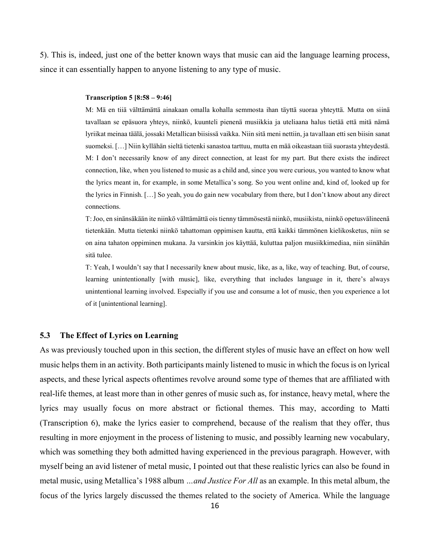5). This is, indeed, just one of the better known ways that music can aid the language learning process, since it can essentially happen to anyone listening to any type of music.

#### **Transcription 5 [8:58 – 9:46]**

M: Mä en tiiä välttämättä ainakaan omalla kohalla semmosta ihan täyttä suoraa yhteyttä. Mutta on siinä tavallaan se epäsuora yhteys, niinkö, kuunteli pienenä musiikkia ja uteliaana halus tietää että mitä nämä lyriikat meinaa täälä, jossaki Metallican biisissä vaikka. Niin sitä meni nettiin, ja tavallaan etti sen biisin sanat suomeksi. […] Niin kyllähän sieltä tietenki sanastoa tarttuu, mutta en mää oikeastaan tiiä suorasta yhteydestä. M: I don't necessarily know of any direct connection, at least for my part. But there exists the indirect connection, like, when you listened to music as a child and, since you were curious, you wanted to know what the lyrics meant in, for example, in some Metallica's song. So you went online and, kind of, looked up for the lyrics in Finnish. […] So yeah, you do gain new vocabulary from there, but I don't know about any direct connections.

T: Joo, en sinänsäkään ite niinkö välttämättä ois tienny tämmösestä niinkö, musiikista, niinkö opetusvälineenä tietenkään. Mutta tietenki niinkö tahattoman oppimisen kautta, että kaikki tämmönen kielikosketus, niin se on aina tahaton oppiminen mukana. Ja varsinkin jos käyttää, kuluttaa paljon musiikkimediaa, niin siinähän sitä tulee.

T: Yeah, I wouldn't say that I necessarily knew about music, like, as a, like, way of teaching. But, of course, learning unintentionally [with music], like, everything that includes language in it, there's always unintentional learning involved. Especially if you use and consume a lot of music, then you experience a lot of it [unintentional learning].

# <span id="page-16-0"></span>**5.3 The Effect of Lyrics on Learning**

As was previously touched upon in this section, the different styles of music have an effect on how well music helps them in an activity. Both participants mainly listened to music in which the focus is on lyrical aspects, and these lyrical aspects oftentimes revolve around some type of themes that are affiliated with real-life themes, at least more than in other genres of music such as, for instance, heavy metal, where the lyrics may usually focus on more abstract or fictional themes. This may, according to Matti (Transcription 6), make the lyrics easier to comprehend, because of the realism that they offer, thus resulting in more enjoyment in the process of listening to music, and possibly learning new vocabulary, which was something they both admitted having experienced in the previous paragraph. However, with myself being an avid listener of metal music, I pointed out that these realistic lyrics can also be found in metal music, using Metallica's 1988 album *…and Justice For All* as an example. In this metal album, the focus of the lyrics largely discussed the themes related to the society of America. While the language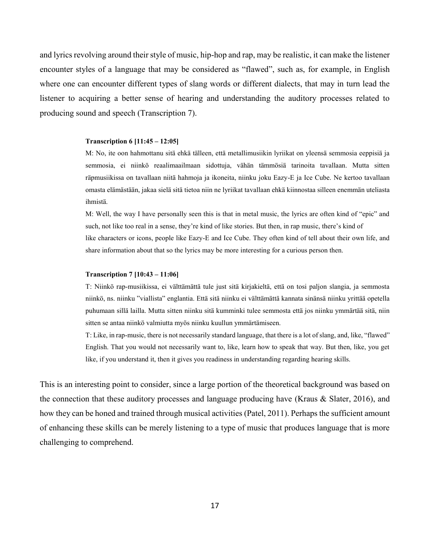and lyrics revolving around their style of music, hip-hop and rap, may be realistic, it can make the listener encounter styles of a language that may be considered as "flawed", such as, for example, in English where one can encounter different types of slang words or different dialects, that may in turn lead the listener to acquiring a better sense of hearing and understanding the auditory processes related to producing sound and speech (Transcription 7).

#### **Transcription 6 [11:45 – 12:05]**

M: No, ite oon hahmottanu sitä ehkä tälleen, että metallimusiikin lyriikat on yleensä semmosia eeppisiä ja semmosia, ei niinkö reaalimaailmaan sidottuja, vähän tämmösiä tarinoita tavallaan. Mutta sitten räpmusiikissa on tavallaan niitä hahmoja ja ikoneita, niinku joku Eazy-E ja Ice Cube. Ne kertoo tavallaan omasta elämästään, jakaa sielä sitä tietoa niin ne lyriikat tavallaan ehkä kiinnostaa silleen enemmän uteliasta ihmistä.

M: Well, the way I have personally seen this is that in metal music, the lyrics are often kind of "epic" and such, not like too real in a sense, they're kind of like stories. But then, in rap music, there's kind of like characters or icons, people like Eazy-E and Ice Cube. They often kind of tell about their own life, and share information about that so the lyrics may be more interesting for a curious person then.

### **Transcription 7 [10:43 – 11:06]**

T: Niinkö rap-musiikissa, ei välttämättä tule just sitä kirjakieltä, että on tosi paljon slangia, ja semmosta niinkö, ns. niinku "viallista" englantia. Että sitä niinku ei välttämättä kannata sinänsä niinku yrittää opetella puhumaan sillä lailla. Mutta sitten niinku sitä kumminki tulee semmosta että jos niinku ymmärtää sitä, niin sitten se antaa niinkö valmiutta myös niinku kuullun ymmärtämiseen.

T: Like, in rap-music, there is not necessarily standard language, that there is a lot of slang, and, like, "flawed" English. That you would not necessarily want to, like, learn how to speak that way. But then, like, you get like, if you understand it, then it gives you readiness in understanding regarding hearing skills.

This is an interesting point to consider, since a large portion of the theoretical background was based on the connection that these auditory processes and language producing have (Kraus  $\&$  Slater, 2016), and how they can be honed and trained through musical activities (Patel, 2011). Perhaps the sufficient amount of enhancing these skills can be merely listening to a type of music that produces language that is more challenging to comprehend.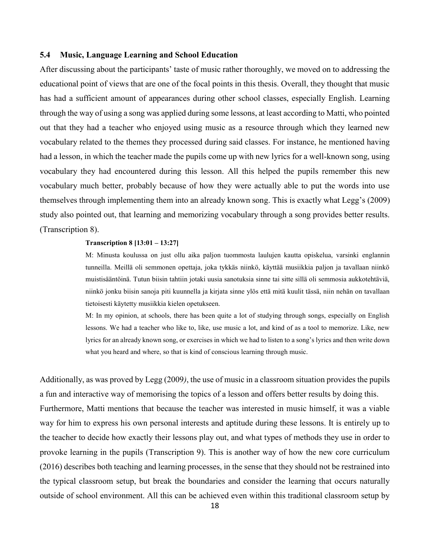# <span id="page-18-0"></span>**5.4 Music, Language Learning and School Education**

After discussing about the participants' taste of music rather thoroughly, we moved on to addressing the educational point of views that are one of the focal points in this thesis. Overall, they thought that music has had a sufficient amount of appearances during other school classes, especially English. Learning through the way of using a song was applied during some lessons, at least according to Matti, who pointed out that they had a teacher who enjoyed using music as a resource through which they learned new vocabulary related to the themes they processed during said classes. For instance, he mentioned having had a lesson, in which the teacher made the pupils come up with new lyrics for a well-known song, using vocabulary they had encountered during this lesson. All this helped the pupils remember this new vocabulary much better, probably because of how they were actually able to put the words into use themselves through implementing them into an already known song. This is exactly what Legg's (2009) study also pointed out, that learning and memorizing vocabulary through a song provides better results. (Transcription 8).

### **Transcription 8 [13:01 – 13:27]**

M: Minusta koulussa on just ollu aika paljon tuommosta laulujen kautta opiskelua, varsinki englannin tunneilla. Meillä oli semmonen opettaja, joka tykkäs niinkö, käyttää musiikkia paljon ja tavallaan niinkö muistisääntöinä. Tutun biisin tahtiin jotaki uusia sanotuksia sinne tai sitte sillä oli semmosia aukkotehtäviä, niinkö jonku biisin sanoja piti kuunnella ja kirjata sinne ylös että mitä kuulit tässä, niin nehän on tavallaan tietoisesti käytetty musiikkia kielen opetukseen.

M: In my opinion, at schools, there has been quite a lot of studying through songs, especially on English lessons. We had a teacher who like to, like, use music a lot, and kind of as a tool to memorize. Like, new lyrics for an already known song, or exercises in which we had to listen to a song's lyrics and then write down what you heard and where, so that is kind of conscious learning through music.

Additionally, as was proved by Legg (2009*)*, the use of music in a classroom situation provides the pupils a fun and interactive way of memorising the topics of a lesson and offers better results by doing this. Furthermore, Matti mentions that because the teacher was interested in music himself, it was a viable way for him to express his own personal interests and aptitude during these lessons. It is entirely up to the teacher to decide how exactly their lessons play out, and what types of methods they use in order to provoke learning in the pupils (Transcription 9). This is another way of how the new core curriculum (2016) describes both teaching and learning processes, in the sense that they should not be restrained into the typical classroom setup, but break the boundaries and consider the learning that occurs naturally outside of school environment. All this can be achieved even within this traditional classroom setup by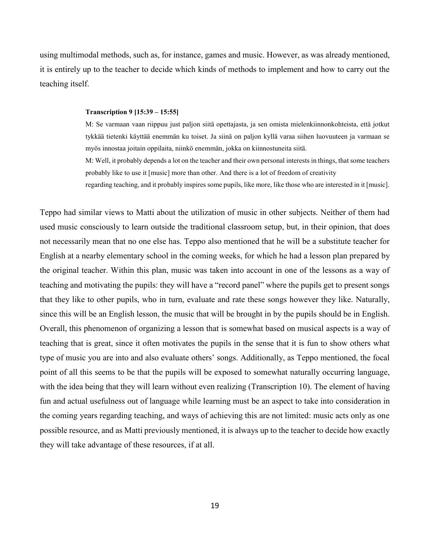using multimodal methods, such as, for instance, games and music. However, as was already mentioned, it is entirely up to the teacher to decide which kinds of methods to implement and how to carry out the teaching itself.

### **Transcription 9 [15:39 – 15:55]**

M: Se varmaan vaan riippuu just paljon siitä opettajasta, ja sen omista mielenkiinnonkohteista, että jotkut tykkää tietenki käyttää enemmän ku toiset. Ja siinä on paljon kyllä varaa siihen luovuuteen ja varmaan se myös innostaa joitain oppilaita, niinkö enemmän, jokka on kiinnostuneita siitä.

M: Well, it probably depends a lot on the teacher and their own personal interests in things, that some teachers probably like to use it [music] more than other. And there is a lot of freedom of creativity

regarding teaching, and it probably inspires some pupils, like more, like those who are interested in it [music].

Teppo had similar views to Matti about the utilization of music in other subjects. Neither of them had used music consciously to learn outside the traditional classroom setup, but, in their opinion, that does not necessarily mean that no one else has. Teppo also mentioned that he will be a substitute teacher for English at a nearby elementary school in the coming weeks, for which he had a lesson plan prepared by the original teacher. Within this plan, music was taken into account in one of the lessons as a way of teaching and motivating the pupils: they will have a "record panel" where the pupils get to present songs that they like to other pupils, who in turn, evaluate and rate these songs however they like. Naturally, since this will be an English lesson, the music that will be brought in by the pupils should be in English. Overall, this phenomenon of organizing a lesson that is somewhat based on musical aspects is a way of teaching that is great, since it often motivates the pupils in the sense that it is fun to show others what type of music you are into and also evaluate others' songs. Additionally, as Teppo mentioned, the focal point of all this seems to be that the pupils will be exposed to somewhat naturally occurring language, with the idea being that they will learn without even realizing (Transcription 10). The element of having fun and actual usefulness out of language while learning must be an aspect to take into consideration in the coming years regarding teaching, and ways of achieving this are not limited: music acts only as one possible resource, and as Matti previously mentioned, it is always up to the teacher to decide how exactly they will take advantage of these resources, if at all.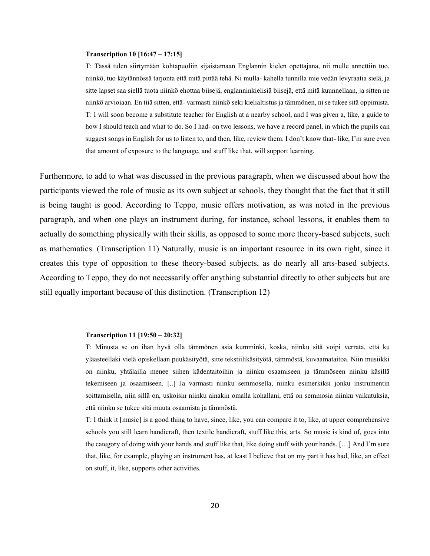### **Transcription 10 [16:47 – 17:15]**

T: Tässä tulen siirtymään kohtapuoliin sijaistamaan Englannin kielen opettajana, nii mulle annettiin tuo, niinkö, tuo käytännössä tarjonta että mitä pittää tehä. Ni mulla- kahella tunnilla mie vedän levyraatia sielä, ja sitte lapset saa siellä tuota niinkö ehottaa biisejä, englanninkielisiä biisejä, että mitä kuunnellaan, ja sitten ne niinkö arvioiaan. En tiiä sitten, että- varmasti niinkö seki kielialtistus ja tämmönen, ni se tukee sitä oppimista. T: I will soon become a substitute teacher for English at a nearby school, and I was given a, like, a guide to how I should teach and what to do. So I had- on two lessons, we have a record panel, in which the pupils can suggest songs in English for us to listen to, and then, like, review them. I don't know that- like, I'm sure even that amount of exposure to the language, and stuff like that, will support learning.

Furthermore, to add to what was discussed in the previous paragraph, when we discussed about how the participants viewed the role of music as its own subject at schools, they thought that the fact that it still is being taught is good. According to Teppo, music offers motivation, as was noted in the previous paragraph, and when one plays an instrument during, for instance, school lessons, it enables them to actually do something physically with their skills, as opposed to some more theory-based subjects, such as mathematics. (Transcription 11) Naturally, music is an important resource in its own right, since it creates this type of opposition to these theory-based subjects, as do nearly all arts-based subjects. According to Teppo, they do not necessarily offer anything substantial directly to other subjects but are still equally important because of this distinction. (Transcription 12)

### **Transcription 11 [19:50 – 20:32]**

T: Minusta se on ihan hyvä olla tämmönen asia kumminki, koska, niinku sitä voipi verrata, että ku yläasteellaki vielä opiskellaan puukäsityötä, sitte tekstiilikäsityötä, tämmöstä, kuvaamataitoa. Niin musiikki on niinku, yhtälailla menee siihen kädentaitoihin ja niinku osaamiseen ja tämmöseen niinku käsillä tekemiseen ja osaamiseen. [..] Ja varmasti niinku semmosella, niinku esimerkiksi jonku instrumentin soittamisella, niin sillä on, uskoisin niinku ainakin omalla kohallani, että on semmosia niinku vaikutuksia, että niinku se tukee sitä muuta osaamista ja tämmöstä.

T: I think it [music] is a good thing to have, since, like, you can compare it to, like, at upper comprehensive schools you still learn handicraft, then textile handicraft, stuff like this, arts. So music is kind of, goes into the category of doing with your hands and stuff like that, like doing stuff with your hands. […] And I'm sure that, like, for example, playing an instrument has, at least I believe that on my part it has had, like, an effect on stuff, it, like, supports other activities.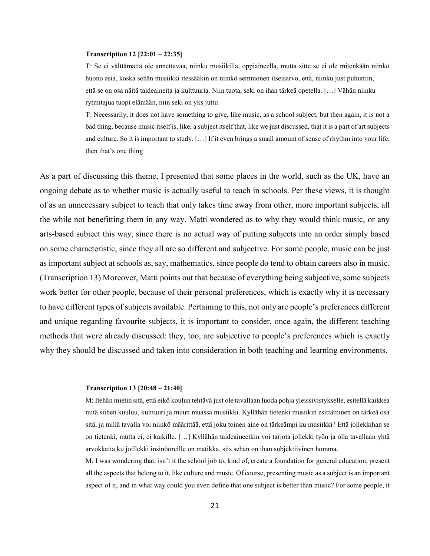### **Transcription 12 [22:01 – 22:35]**

T: Se ei välttämättä ole annettavaa, niinku musiikilla, oppiaineella, mutta sitte se ei ole mitenkään niinkö huono asia, koska sehän musiikki itessääkin on niinkö semmonen itseisarvo, että, niinku just puhuttiin, että se on osa näitä taideaineita ja kulttuuria. Niin tuota, seki on ihan tärkeä opetella. […] Vähän niinku rytmitajua tuopi elämään, niin seki on yks juttu

T: Necessarily, it does not have something to give, like music, as a school subject, but then again, it is not a bad thing, because music itself is, like, a subject itself that, like we just discussed, that it is a part of art subjects and culture. So it is important to study. […] If it even brings a small amount of sense of rhythm into your life, then that's one thing

As a part of discussing this theme, I presented that some places in the world, such as the UK, have an ongoing debate as to whether music is actually useful to teach in schools. Per these views, it is thought of as an unnecessary subject to teach that only takes time away from other, more important subjects, all the while not benefitting them in any way. Matti wondered as to why they would think music, or any arts-based subject this way, since there is no actual way of putting subjects into an order simply based on some characteristic, since they all are so different and subjective. For some people, music can be just as important subject at schools as, say, mathematics, since people do tend to obtain careers also in music. (Transcription 13) Moreover, Matti points out that because of everything being subjective, some subjects work better for other people, because of their personal preferences, which is exactly why it is necessary to have different types of subjects available. Pertaining to this, not only are people's preferences different and unique regarding favourite subjects, it is important to consider, once again, the different teaching methods that were already discussed: they, too, are subjective to people's preferences which is exactly why they should be discussed and taken into consideration in both teaching and learning environments.

#### **Transcription 13 [20:48 – 21:40]**

M: Itehän mietin sitä, että eikö koulun tehtävä just ole tavallaan luoda pohja yleissivistykselle, esitellä kaikkea mitä siihen kuuluu, kulttuuri ja muun muassa musiikki. Kyllähän tietenki musiikin esittäminen on tärkeä osa sitä, ja millä tavalla voi niinkö määrittää, että joku toinen aine on tärkeämpi ku musiikki? Että jollekkihan se on tietenki, mutta ei, ei kaikille. […] Kyllähän taideaineetkin voi tarjota jollekki työn ja olla tavallaan yhtä arvokkaita ku joillekki insinööreille on matikka, siis sehän on ihan subjektiivinen homma.

M: I was wondering that, isn't it the school job to, kind of, create a foundation for general education, present all the aspects that belong to it, like culture and music. Of course, presenting music as a subject is an important aspect of it, and in what way could you even define that one subject is better than music? For some people, it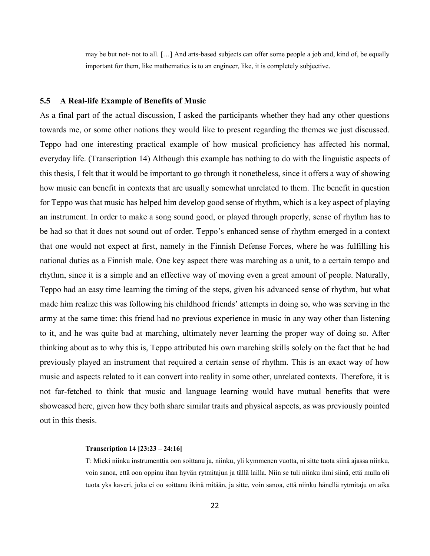may be but not- not to all. […] And arts-based subjects can offer some people a job and, kind of, be equally important for them, like mathematics is to an engineer, like, it is completely subjective.

### <span id="page-22-0"></span>**5.5 A Real-life Example of Benefits of Music**

As a final part of the actual discussion, I asked the participants whether they had any other questions towards me, or some other notions they would like to present regarding the themes we just discussed. Teppo had one interesting practical example of how musical proficiency has affected his normal, everyday life. (Transcription 14) Although this example has nothing to do with the linguistic aspects of this thesis, I felt that it would be important to go through it nonetheless, since it offers a way of showing how music can benefit in contexts that are usually somewhat unrelated to them. The benefit in question for Teppo was that music has helped him develop good sense of rhythm, which is a key aspect of playing an instrument. In order to make a song sound good, or played through properly, sense of rhythm has to be had so that it does not sound out of order. Teppo's enhanced sense of rhythm emerged in a context that one would not expect at first, namely in the Finnish Defense Forces, where he was fulfilling his national duties as a Finnish male. One key aspect there was marching as a unit, to a certain tempo and rhythm, since it is a simple and an effective way of moving even a great amount of people. Naturally, Teppo had an easy time learning the timing of the steps, given his advanced sense of rhythm, but what made him realize this was following his childhood friends' attempts in doing so, who was serving in the army at the same time: this friend had no previous experience in music in any way other than listening to it, and he was quite bad at marching, ultimately never learning the proper way of doing so. After thinking about as to why this is, Teppo attributed his own marching skills solely on the fact that he had previously played an instrument that required a certain sense of rhythm. This is an exact way of how music and aspects related to it can convert into reality in some other, unrelated contexts. Therefore, it is not far-fetched to think that music and language learning would have mutual benefits that were showcased here, given how they both share similar traits and physical aspects, as was previously pointed out in this thesis.

### **Transcription 14 [23:23 – 24:16]**

T: Mieki niinku instrumenttia oon soittanu ja, niinku, yli kymmenen vuotta, ni sitte tuota siinä ajassa niinku, voin sanoa, että oon oppinu ihan hyvän rytmitajun ja tällä lailla. Niin se tuli niinku ilmi siinä, että mulla oli tuota yks kaveri, joka ei oo soittanu ikinä mitään, ja sitte, voin sanoa, että niinku hänellä rytmitaju on aika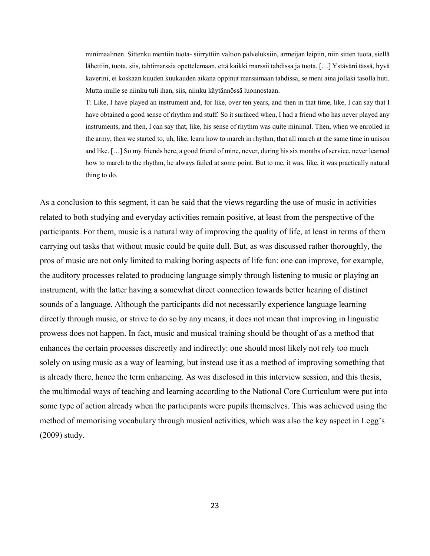minimaalinen. Sittenku mentiin tuota- siirryttiin valtion palveluksiin, armeijan leipiin, niin sitten tuota, siellä lähettiin, tuota, siis, tahtimarssia opettelemaan, että kaikki marssii tahdissa ja tuota. […] Ystäväni tässä, hyvä kaverini, ei koskaan kuuden kuukauden aikana oppinut marssimaan tahdissa, se meni aina jollaki tasolla huti. Mutta mulle se niinku tuli ihan, siis, niinku käytännössä luonnostaan.

T: Like, I have played an instrument and, for like, over ten years, and then in that time, like, I can say that I have obtained a good sense of rhythm and stuff. So it surfaced when, I had a friend who has never played any instruments, and then, I can say that, like, his sense of rhythm was quite minimal. Then, when we enrolled in the army, then we started to, uh, like, learn how to march in rhythm, that all march at the same time in unison and like. […] So my friends here, a good friend of mine, never, during his six months of service, never learned how to march to the rhythm, he always failed at some point. But to me, it was, like, it was practically natural thing to do.

As a conclusion to this segment, it can be said that the views regarding the use of music in activities related to both studying and everyday activities remain positive, at least from the perspective of the participants. For them, music is a natural way of improving the quality of life, at least in terms of them carrying out tasks that without music could be quite dull. But, as was discussed rather thoroughly, the pros of music are not only limited to making boring aspects of life fun: one can improve, for example, the auditory processes related to producing language simply through listening to music or playing an instrument, with the latter having a somewhat direct connection towards better hearing of distinct sounds of a language. Although the participants did not necessarily experience language learning directly through music, or strive to do so by any means, it does not mean that improving in linguistic prowess does not happen. In fact, music and musical training should be thought of as a method that enhances the certain processes discreetly and indirectly: one should most likely not rely too much solely on using music as a way of learning, but instead use it as a method of improving something that is already there, hence the term enhancing. As was disclosed in this interview session, and this thesis, the multimodal ways of teaching and learning according to the National Core Curriculum were put into some type of action already when the participants were pupils themselves. This was achieved using the method of memorising vocabulary through musical activities, which was also the key aspect in Legg's (2009) study.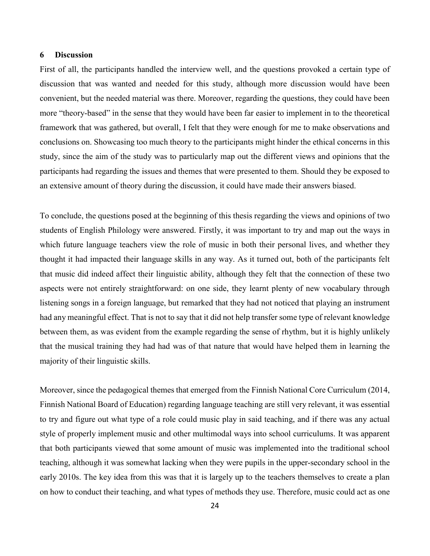# <span id="page-24-0"></span>**6 Discussion**

First of all, the participants handled the interview well, and the questions provoked a certain type of discussion that was wanted and needed for this study, although more discussion would have been convenient, but the needed material was there. Moreover, regarding the questions, they could have been more "theory-based" in the sense that they would have been far easier to implement in to the theoretical framework that was gathered, but overall, I felt that they were enough for me to make observations and conclusions on. Showcasing too much theory to the participants might hinder the ethical concerns in this study, since the aim of the study was to particularly map out the different views and opinions that the participants had regarding the issues and themes that were presented to them. Should they be exposed to an extensive amount of theory during the discussion, it could have made their answers biased.

To conclude, the questions posed at the beginning of this thesis regarding the views and opinions of two students of English Philology were answered. Firstly, it was important to try and map out the ways in which future language teachers view the role of music in both their personal lives, and whether they thought it had impacted their language skills in any way. As it turned out, both of the participants felt that music did indeed affect their linguistic ability, although they felt that the connection of these two aspects were not entirely straightforward: on one side, they learnt plenty of new vocabulary through listening songs in a foreign language, but remarked that they had not noticed that playing an instrument had any meaningful effect. That is not to say that it did not help transfer some type of relevant knowledge between them, as was evident from the example regarding the sense of rhythm, but it is highly unlikely that the musical training they had had was of that nature that would have helped them in learning the majority of their linguistic skills.

Moreover, since the pedagogical themes that emerged from the Finnish National Core Curriculum (2014, Finnish National Board of Education) regarding language teaching are still very relevant, it was essential to try and figure out what type of a role could music play in said teaching, and if there was any actual style of properly implement music and other multimodal ways into school curriculums. It was apparent that both participants viewed that some amount of music was implemented into the traditional school teaching, although it was somewhat lacking when they were pupils in the upper-secondary school in the early 2010s. The key idea from this was that it is largely up to the teachers themselves to create a plan on how to conduct their teaching, and what types of methods they use. Therefore, music could act as one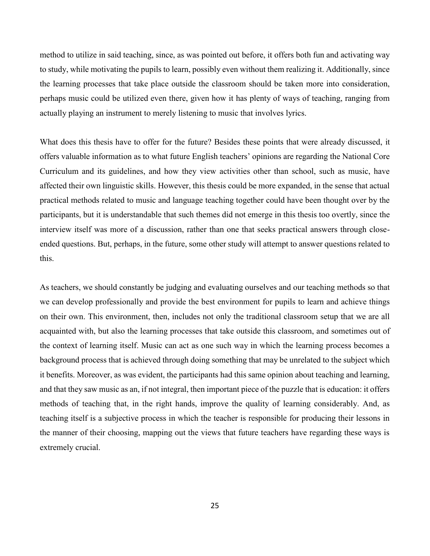method to utilize in said teaching, since, as was pointed out before, it offers both fun and activating way to study, while motivating the pupils to learn, possibly even without them realizing it. Additionally, since the learning processes that take place outside the classroom should be taken more into consideration, perhaps music could be utilized even there, given how it has plenty of ways of teaching, ranging from actually playing an instrument to merely listening to music that involves lyrics.

What does this thesis have to offer for the future? Besides these points that were already discussed, it offers valuable information as to what future English teachers' opinions are regarding the National Core Curriculum and its guidelines, and how they view activities other than school, such as music, have affected their own linguistic skills. However, this thesis could be more expanded, in the sense that actual practical methods related to music and language teaching together could have been thought over by the participants, but it is understandable that such themes did not emerge in this thesis too overtly, since the interview itself was more of a discussion, rather than one that seeks practical answers through closeended questions. But, perhaps, in the future, some other study will attempt to answer questions related to this.

As teachers, we should constantly be judging and evaluating ourselves and our teaching methods so that we can develop professionally and provide the best environment for pupils to learn and achieve things on their own. This environment, then, includes not only the traditional classroom setup that we are all acquainted with, but also the learning processes that take outside this classroom, and sometimes out of the context of learning itself. Music can act as one such way in which the learning process becomes a background process that is achieved through doing something that may be unrelated to the subject which it benefits. Moreover, as was evident, the participants had this same opinion about teaching and learning, and that they saw music as an, if not integral, then important piece of the puzzle that is education: it offers methods of teaching that, in the right hands, improve the quality of learning considerably. And, as teaching itself is a subjective process in which the teacher is responsible for producing their lessons in the manner of their choosing, mapping out the views that future teachers have regarding these ways is extremely crucial.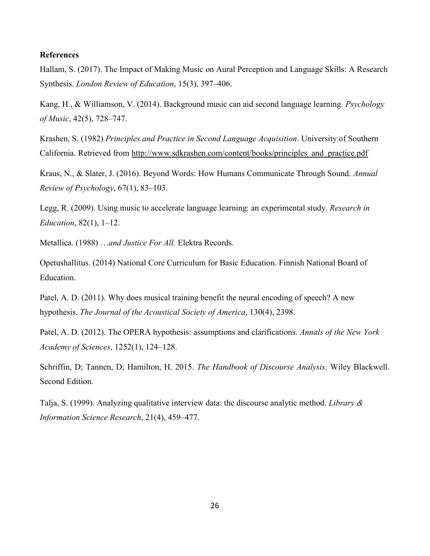# <span id="page-26-0"></span>**References**

Hallam, S. (2017). The Impact of Making Music on Aural Perception and Language Skills: A Research Synthesis. *London Review of Education*, 15(3), 397–406.

Kang, H., & Williamson, V. (2014). Background music can aid second language learning. *Psychology of Music*, 42(5), 728–747.

Krashen, S. (1982) *Principles and Practice in Second Language Acquisition*. University of Southern California. Retrieved from [http://www.sdkrashen.com/content/books/principles\\_and\\_practice.pdf](http://www.sdkrashen.com/content/books/principles_and_practice.pdf)

Kraus, N., & Slater, J. (2016). Beyond Words: How Humans Communicate Through Sound. *Annual Review of Psychology*, 67(1), 83–103.

Legg, R. (2009). Using music to accelerate language learning: an experimental study. *Research in Education*, 82(1), 1–12.

Metallica. (1988) …*and Justice For All.* Elektra Records.

Opetushallitus. (2014) National Core Curriculum for Basic Education. Finnish National Board of Education.

Patel, A. D. (2011). Why does musical training benefit the neural encoding of speech? A new hypothesis. *The Journal of the Acoustical Society of America*, 130(4), 2398.

Patel, A. D. (2012). The OPERA hypothesis: assumptions and clarifications. *Annals of the New York Academy of Sciences*, 1252(1), 124–128.

Schriffin, D; Tannen, D; Hamilton, H. 2015. *The Handbook of Discourse Analysis*. Wiley Blackwell. Second Edition.

Talja, S. (1999). Analyzing qualitative interview data: the discourse analytic method. *Library & Information Science Research*, 21(4), 459–477.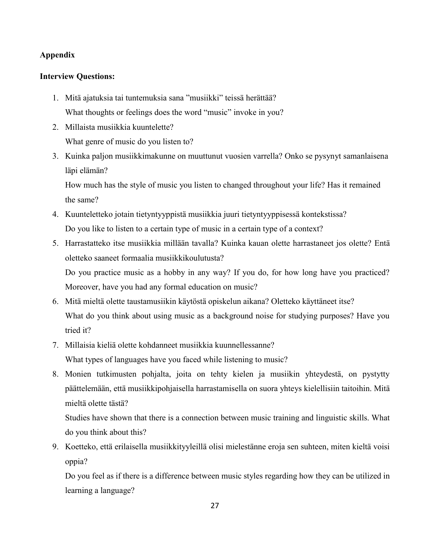# **Appendix**

# **Interview Questions:**

- 1. Mitä ajatuksia tai tuntemuksia sana "musiikki" teissä herättää? What thoughts or feelings does the word "music" invoke in you?
- 2. Millaista musiikkia kuuntelette? What genre of music do you listen to?
- 3. Kuinka paljon musiikkimakunne on muuttunut vuosien varrella? Onko se pysynyt samanlaisena läpi elämän?

How much has the style of music you listen to changed throughout your life? Has it remained the same?

- 4. Kuunteletteko jotain tietyntyyppistä musiikkia juuri tietyntyyppisessä kontekstissa? Do you like to listen to a certain type of music in a certain type of a context?
- 5. Harrastatteko itse musiikkia millään tavalla? Kuinka kauan olette harrastaneet jos olette? Entä oletteko saaneet formaalia musiikkikoulutusta? Do you practice music as a hobby in any way? If you do, for how long have you practiced? Moreover, have you had any formal education on music?
- 6. Mitä mieltä olette taustamusiikin käytöstä opiskelun aikana? Oletteko käyttäneet itse? What do you think about using music as a background noise for studying purposes? Have you tried it?
- 7. Millaisia kieliä olette kohdanneet musiikkia kuunnellessanne? What types of languages have you faced while listening to music?
- 8. Monien tutkimusten pohjalta, joita on tehty kielen ja musiikin yhteydestä, on pystytty päättelemään, että musiikkipohjaisella harrastamisella on suora yhteys kielellisiin taitoihin. Mitä mieltä olette tästä?

Studies have shown that there is a connection between music training and linguistic skills. What do you think about this?

9. Koetteko, että erilaisella musiikkityyleillä olisi mielestänne eroja sen suhteen, miten kieltä voisi oppia?

Do you feel as if there is a difference between music styles regarding how they can be utilized in learning a language?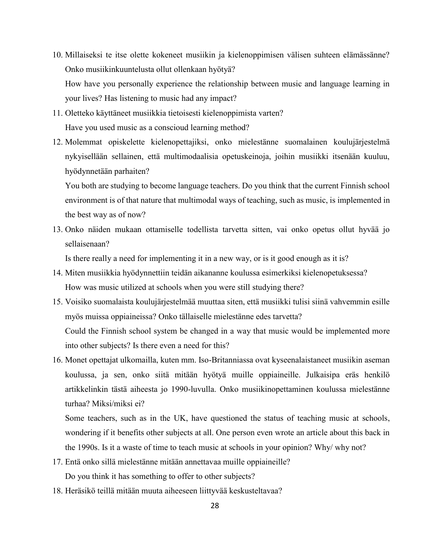- 10. Millaiseksi te itse olette kokeneet musiikin ja kielenoppimisen välisen suhteen elämässänne? Onko musiikinkuuntelusta ollut ollenkaan hyötyä? How have you personally experience the relationship between music and language learning in your lives? Has listening to music had any impact?
- 11. Oletteko käyttäneet musiikkia tietoisesti kielenoppimista varten? Have you used music as a conscioud learning method?
- 12. Molemmat opiskelette kielenopettajiksi, onko mielestänne suomalainen koulujärjestelmä nykyisellään sellainen, että multimodaalisia opetuskeinoja, joihin musiikki itsenään kuuluu, hyödynnetään parhaiten?

You both are studying to become language teachers. Do you think that the current Finnish school environment is of that nature that multimodal ways of teaching, such as music, is implemented in the best way as of now?

13. Onko näiden mukaan ottamiselle todellista tarvetta sitten, vai onko opetus ollut hyvää jo sellaisenaan?

Is there really a need for implementing it in a new way, or is it good enough as it is?

- 14. Miten musiikkia hyödynnettiin teidän aikananne koulussa esimerkiksi kielenopetuksessa? How was music utilized at schools when you were still studying there?
- 15. Voisiko suomalaista koulujärjestelmää muuttaa siten, että musiikki tulisi siinä vahvemmin esille myös muissa oppiaineissa? Onko tällaiselle mielestänne edes tarvetta? Could the Finnish school system be changed in a way that music would be implemented more into other subjects? Is there even a need for this?
- 16. Monet opettajat ulkomailla, kuten mm. Iso-Britanniassa ovat kyseenalaistaneet musiikin aseman koulussa, ja sen, onko siitä mitään hyötyä muille oppiaineille. Julkaisipa eräs henkilö artikkelinkin tästä aiheesta jo 1990-luvulla. Onko musiikinopettaminen koulussa mielestänne turhaa? Miksi/miksi ei?

Some teachers, such as in the UK, have questioned the status of teaching music at schools, wondering if it benefits other subjects at all. One person even wrote an article about this back in the 1990s. Is it a waste of time to teach music at schools in your opinion? Why/ why not?

- 17. Entä onko sillä mielestänne mitään annettavaa muille oppiaineille? Do you think it has something to offer to other subjects?
- 18. Heräsikö teillä mitään muuta aiheeseen liittyvää keskusteltavaa?